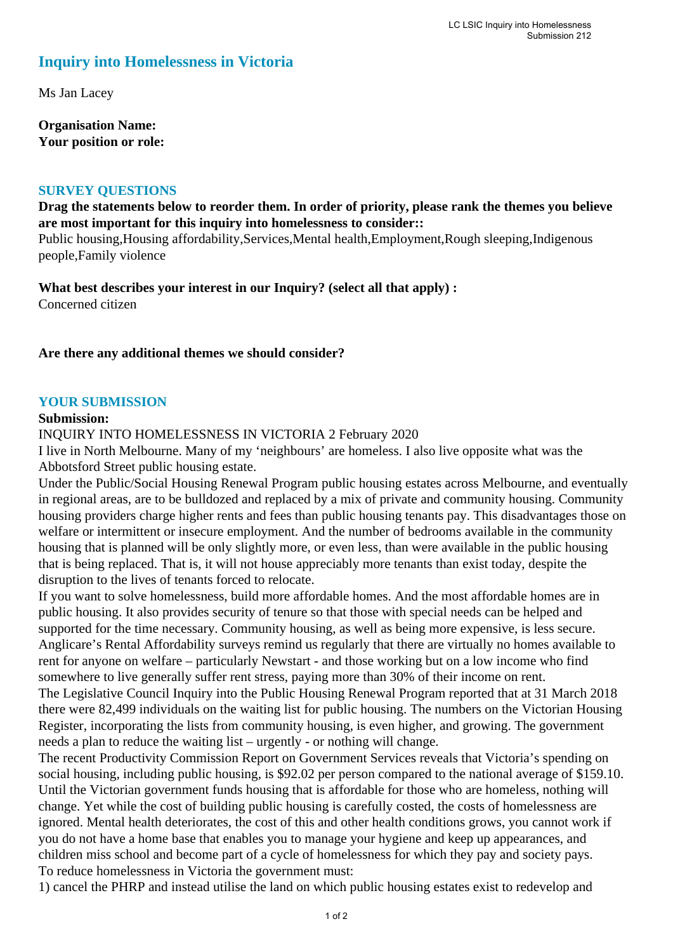# **Inquiry into Homelessness in Victoria**

Ms Jan Lacey

**Organisation Name: Your position or role:** 

#### **SURVEY QUESTIONS**

### **Drag the statements below to reorder them. In order of priority, please rank the themes you believe are most important for this inquiry into homelessness to consider::**

Public housing,Housing affordability,Services,Mental health,Employment,Rough sleeping,Indigenous people,Family violence

**What best describes your interest in our Inquiry? (select all that apply) :**  Concerned citizen

**Are there any additional themes we should consider?**

#### **YOUR SUBMISSION**

#### **Submission:**

INQUIRY INTO HOMELESSNESS IN VICTORIA 2 February 2020

I live in North Melbourne. Many of my 'neighbours' are homeless. I also live opposite what was the Abbotsford Street public housing estate.

Under the Public/Social Housing Renewal Program public housing estates across Melbourne, and eventually in regional areas, are to be bulldozed and replaced by a mix of private and community housing. Community housing providers charge higher rents and fees than public housing tenants pay. This disadvantages those on welfare or intermittent or insecure employment. And the number of bedrooms available in the community housing that is planned will be only slightly more, or even less, than were available in the public housing that is being replaced. That is, it will not house appreciably more tenants than exist today, despite the disruption to the lives of tenants forced to relocate.

If you want to solve homelessness, build more affordable homes. And the most affordable homes are in public housing. It also provides security of tenure so that those with special needs can be helped and supported for the time necessary. Community housing, as well as being more expensive, is less secure. Anglicare's Rental Affordability surveys remind us regularly that there are virtually no homes available to rent for anyone on welfare – particularly Newstart - and those working but on a low income who find somewhere to live generally suffer rent stress, paying more than 30% of their income on rent.

The Legislative Council Inquiry into the Public Housing Renewal Program reported that at 31 March 2018 there were 82,499 individuals on the waiting list for public housing. The numbers on the Victorian Housing Register, incorporating the lists from community housing, is even higher, and growing. The government needs a plan to reduce the waiting list – urgently - or nothing will change.

The recent Productivity Commission Report on Government Services reveals that Victoria's spending on social housing, including public housing, is \$92.02 per person compared to the national average of \$159.10. Until the Victorian government funds housing that is affordable for those who are homeless, nothing will change. Yet while the cost of building public housing is carefully costed, the costs of homelessness are ignored. Mental health deteriorates, the cost of this and other health conditions grows, you cannot work if you do not have a home base that enables you to manage your hygiene and keep up appearances, and children miss school and become part of a cycle of homelessness for which they pay and society pays. To reduce homelessness in Victoria the government must:

1) cancel the PHRP and instead utilise the land on which public housing estates exist to redevelop and